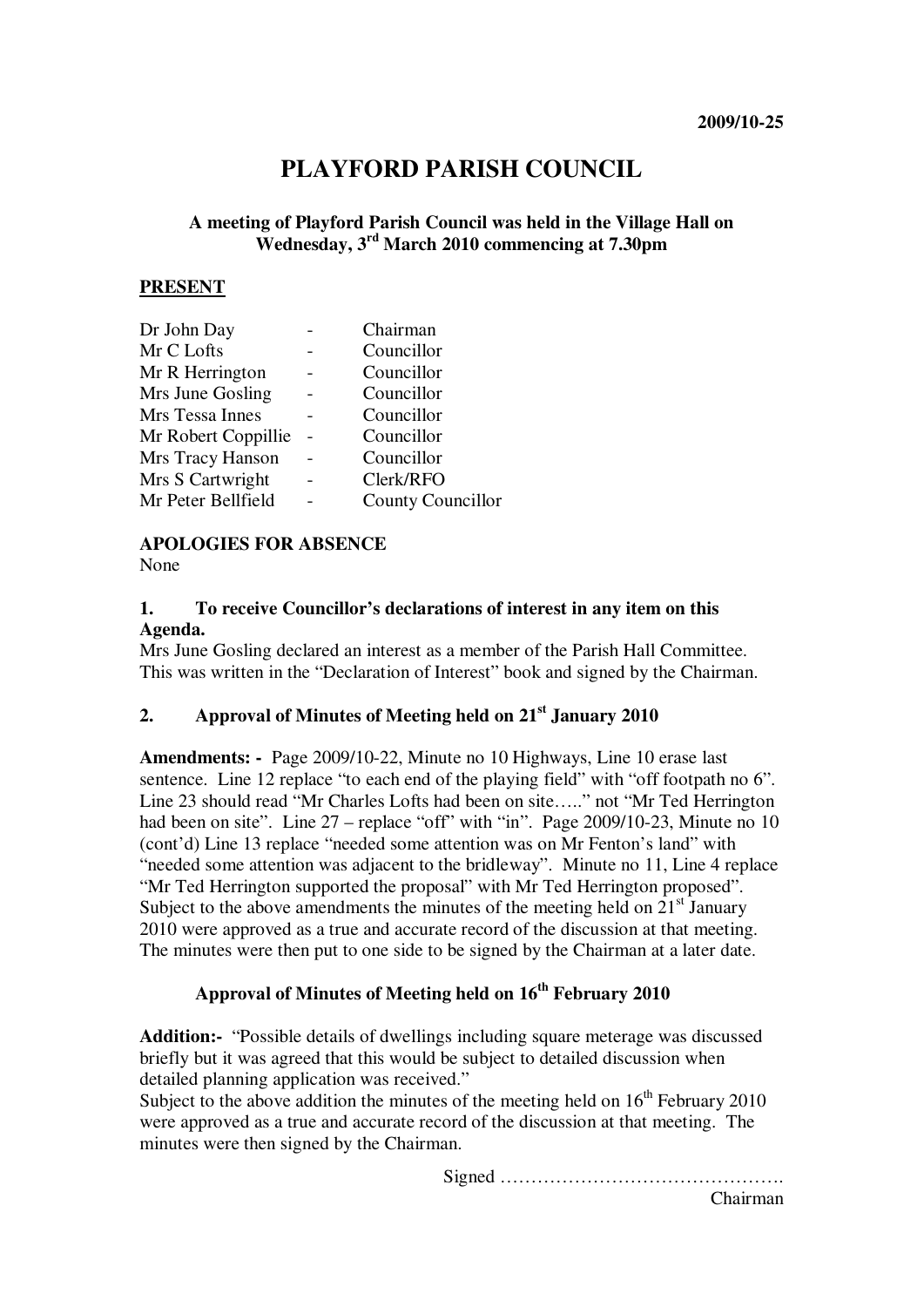# **PLAYFORD PARISH COUNCIL**

# **A meeting of Playford Parish Council was held in the Village Hall on Wednesday, 3rd March 2010 commencing at 7.30pm**

#### **PRESENT**

| Dr John Day         | Chairman          |
|---------------------|-------------------|
| Mr C Lofts          | Councillor        |
| Mr R Herrington     | Councillor        |
| Mrs June Gosling    | Councillor        |
| Mrs Tessa Innes     | Councillor        |
| Mr Robert Coppillie | Councillor        |
| Mrs Tracy Hanson    | Councillor        |
| Mrs S Cartwright    | Clerk/RFO         |
| Mr Peter Bellfield  | County Councillor |
|                     |                   |

#### **APOLOGIES FOR ABSENCE**

None

## **1. To receive Councillor's declarations of interest in any item on this Agenda.**

Mrs June Gosling declared an interest as a member of the Parish Hall Committee. This was written in the "Declaration of Interest" book and signed by the Chairman.

# **2. Approval of Minutes of Meeting held on 21st January 2010**

**Amendments: -** Page 2009/10-22, Minute no 10 Highways, Line 10 erase last sentence. Line 12 replace "to each end of the playing field" with "off footpath no 6". Line 23 should read "Mr Charles Lofts had been on site….." not "Mr Ted Herrington had been on site". Line 27 – replace "off" with "in". Page 2009/10-23, Minute no 10 (cont'd) Line 13 replace "needed some attention was on Mr Fenton's land" with "needed some attention was adjacent to the bridleway". Minute no 11, Line 4 replace "Mr Ted Herrington supported the proposal" with Mr Ted Herrington proposed". Subject to the above amendments the minutes of the meeting held on  $21<sup>st</sup>$  January 2010 were approved as a true and accurate record of the discussion at that meeting. The minutes were then put to one side to be signed by the Chairman at a later date.

# **Approval of Minutes of Meeting held on 16th February 2010**

**Addition:-** "Possible details of dwellings including square meterage was discussed briefly but it was agreed that this would be subject to detailed discussion when detailed planning application was received."

Subject to the above addition the minutes of the meeting held on  $16<sup>th</sup>$  February 2010 were approved as a true and accurate record of the discussion at that meeting. The minutes were then signed by the Chairman.

Signed ……………………………………….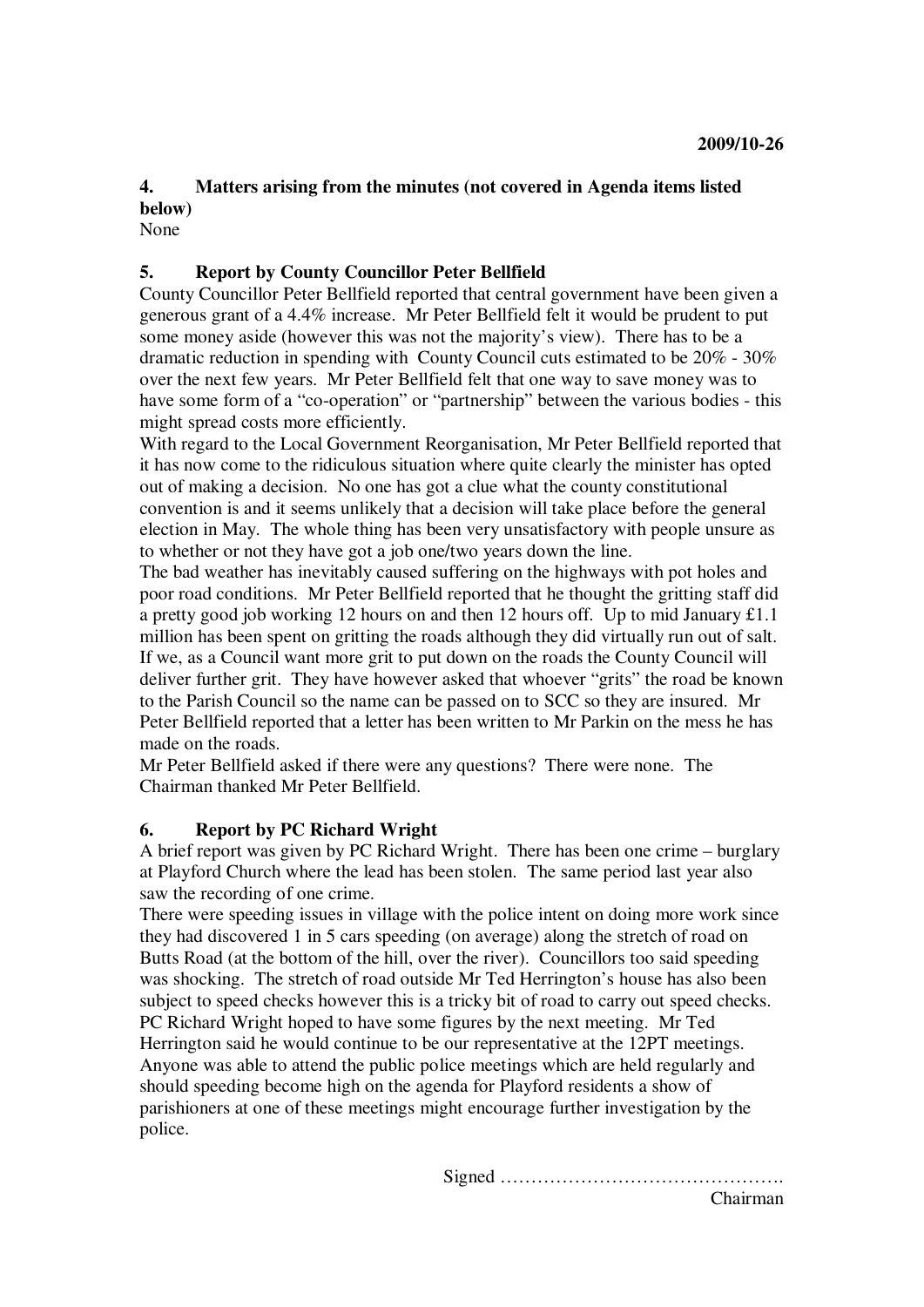# **4. Matters arising from the minutes (not covered in Agenda items listed below)**

None

# **5. Report by County Councillor Peter Bellfield**

County Councillor Peter Bellfield reported that central government have been given a generous grant of a 4.4% increase. Mr Peter Bellfield felt it would be prudent to put some money aside (however this was not the majority's view). There has to be a dramatic reduction in spending with County Council cuts estimated to be 20% - 30% over the next few years. Mr Peter Bellfield felt that one way to save money was to have some form of a "co-operation" or "partnership" between the various bodies - this might spread costs more efficiently.

With regard to the Local Government Reorganisation, Mr Peter Bellfield reported that it has now come to the ridiculous situation where quite clearly the minister has opted out of making a decision. No one has got a clue what the county constitutional convention is and it seems unlikely that a decision will take place before the general election in May. The whole thing has been very unsatisfactory with people unsure as to whether or not they have got a job one/two years down the line.

The bad weather has inevitably caused suffering on the highways with pot holes and poor road conditions. Mr Peter Bellfield reported that he thought the gritting staff did a pretty good job working 12 hours on and then 12 hours off. Up to mid January £1.1 million has been spent on gritting the roads although they did virtually run out of salt. If we, as a Council want more grit to put down on the roads the County Council will deliver further grit. They have however asked that whoever "grits" the road be known to the Parish Council so the name can be passed on to SCC so they are insured. Mr Peter Bellfield reported that a letter has been written to Mr Parkin on the mess he has made on the roads.

Mr Peter Bellfield asked if there were any questions? There were none. The Chairman thanked Mr Peter Bellfield.

#### **6. Report by PC Richard Wright**

A brief report was given by PC Richard Wright. There has been one crime – burglary at Playford Church where the lead has been stolen. The same period last year also saw the recording of one crime.

There were speeding issues in village with the police intent on doing more work since they had discovered 1 in 5 cars speeding (on average) along the stretch of road on Butts Road (at the bottom of the hill, over the river). Councillors too said speeding was shocking. The stretch of road outside Mr Ted Herrington's house has also been subject to speed checks however this is a tricky bit of road to carry out speed checks. PC Richard Wright hoped to have some figures by the next meeting. Mr Ted Herrington said he would continue to be our representative at the 12PT meetings. Anyone was able to attend the public police meetings which are held regularly and should speeding become high on the agenda for Playford residents a show of parishioners at one of these meetings might encourage further investigation by the police.

Signed ……………………………………….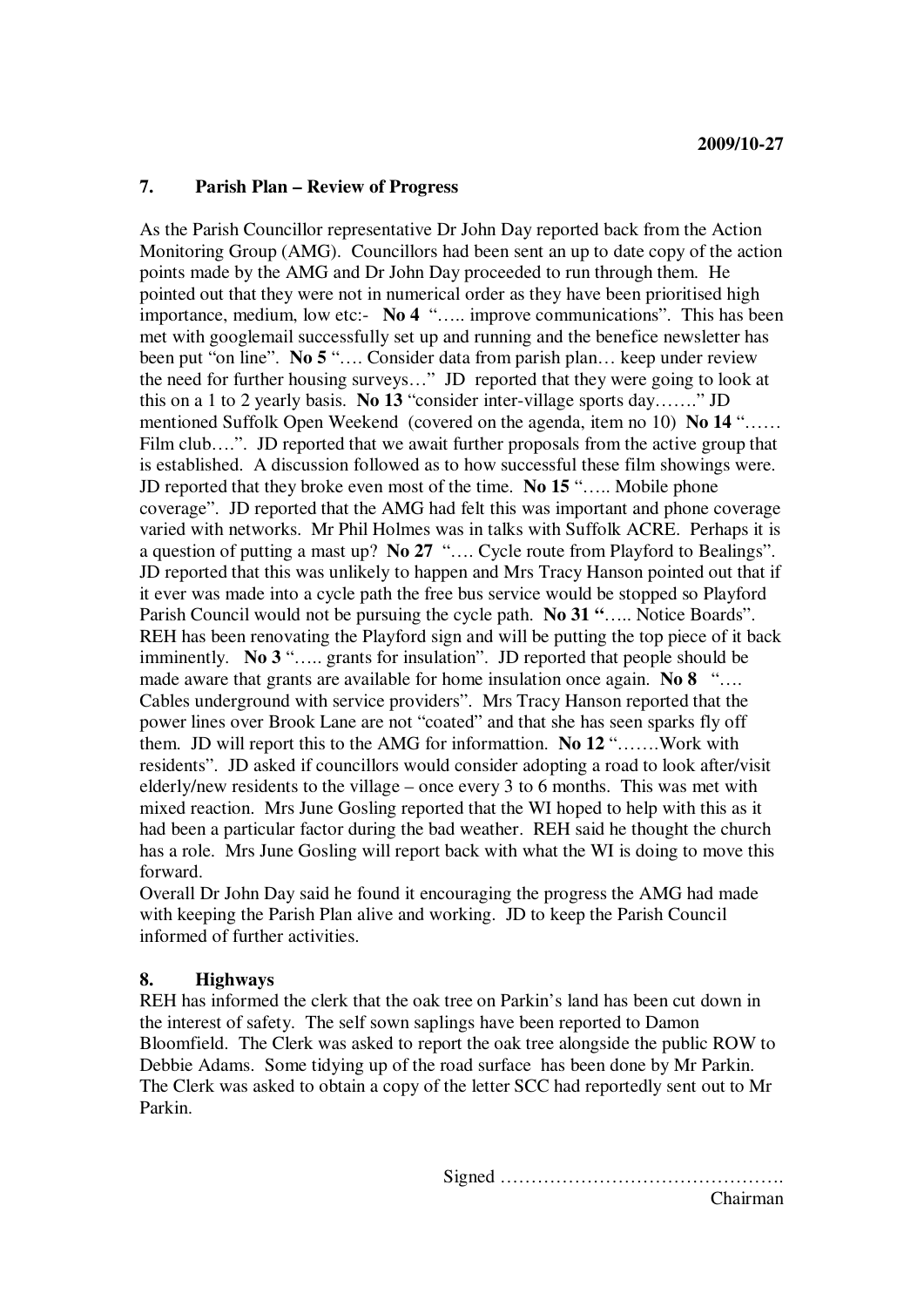## **7. Parish Plan – Review of Progress**

As the Parish Councillor representative Dr John Day reported back from the Action Monitoring Group (AMG). Councillors had been sent an up to date copy of the action points made by the AMG and Dr John Day proceeded to run through them. He pointed out that they were not in numerical order as they have been prioritised high importance, medium, low etc:- **No 4** "….. improve communications". This has been met with googlemail successfully set up and running and the benefice newsletter has been put "on line". **No 5** "…. Consider data from parish plan… keep under review the need for further housing surveys…" JD reported that they were going to look at this on a 1 to 2 yearly basis. **No 13** "consider inter-village sports day……." JD mentioned Suffolk Open Weekend (covered on the agenda, item no 10) **No 14** "…… Film club….". JD reported that we await further proposals from the active group that is established. A discussion followed as to how successful these film showings were. JD reported that they broke even most of the time. **No 15** "….. Mobile phone coverage". JD reported that the AMG had felt this was important and phone coverage varied with networks. Mr Phil Holmes was in talks with Suffolk ACRE. Perhaps it is a question of putting a mast up? **No 27** "…. Cycle route from Playford to Bealings". JD reported that this was unlikely to happen and Mrs Tracy Hanson pointed out that if it ever was made into a cycle path the free bus service would be stopped so Playford Parish Council would not be pursuing the cycle path. **No 31 "**….. Notice Boards". REH has been renovating the Playford sign and will be putting the top piece of it back imminently. **No 3** "….. grants for insulation". JD reported that people should be made aware that grants are available for home insulation once again. **No 8** "... Cables underground with service providers". Mrs Tracy Hanson reported that the power lines over Brook Lane are not "coated" and that she has seen sparks fly off them. JD will report this to the AMG for informattion. **No 12** "…….Work with residents". JD asked if councillors would consider adopting a road to look after/visit elderly/new residents to the village – once every 3 to 6 months. This was met with mixed reaction. Mrs June Gosling reported that the WI hoped to help with this as it had been a particular factor during the bad weather. REH said he thought the church has a role. Mrs June Gosling will report back with what the WI is doing to move this forward.

Overall Dr John Day said he found it encouraging the progress the AMG had made with keeping the Parish Plan alive and working. JD to keep the Parish Council informed of further activities.

# **8. Highways**

REH has informed the clerk that the oak tree on Parkin's land has been cut down in the interest of safety. The self sown saplings have been reported to Damon Bloomfield. The Clerk was asked to report the oak tree alongside the public ROW to Debbie Adams. Some tidying up of the road surface has been done by Mr Parkin. The Clerk was asked to obtain a copy of the letter SCC had reportedly sent out to Mr Parkin.

Signed ……………………………………….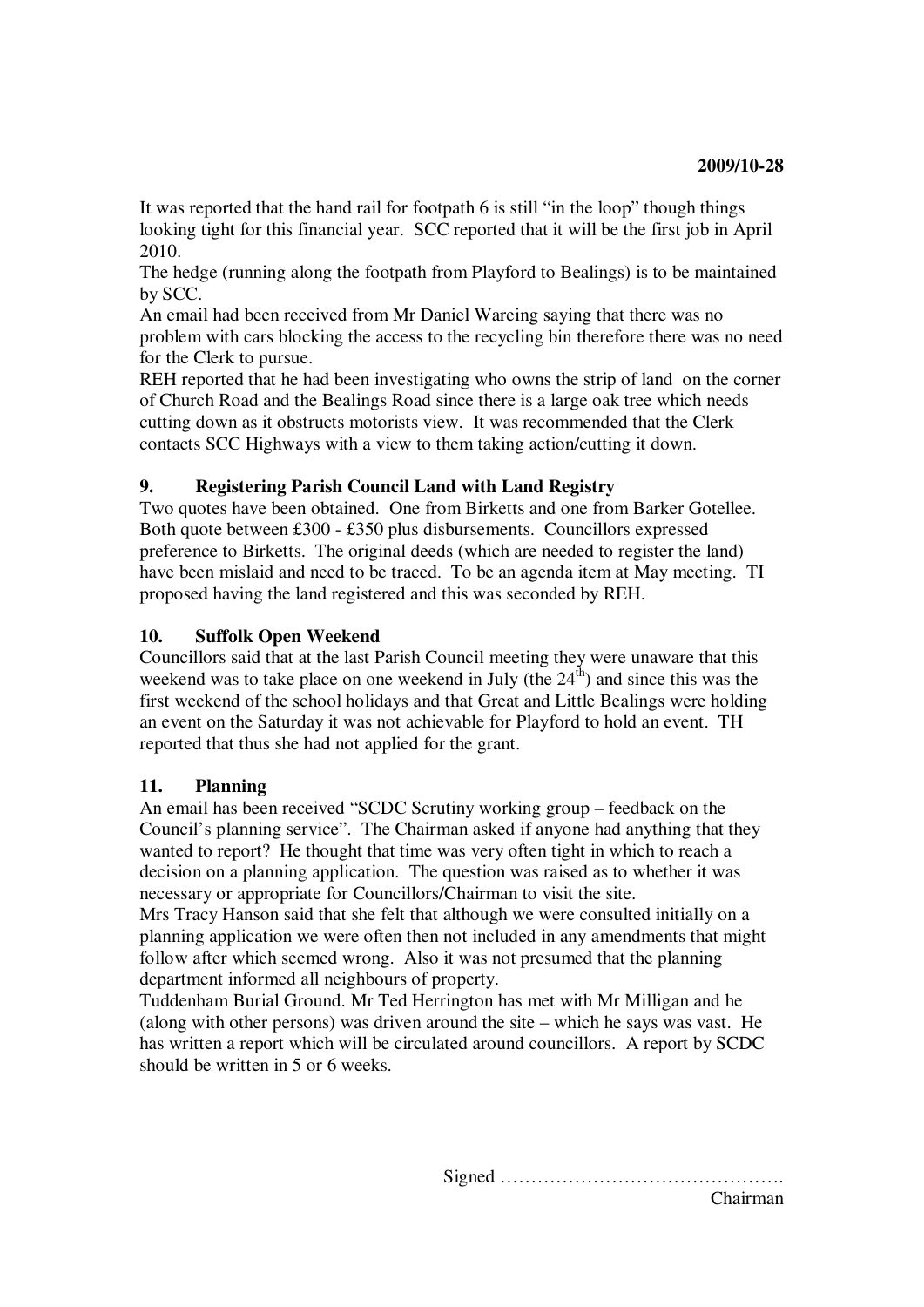It was reported that the hand rail for footpath 6 is still "in the loop" though things looking tight for this financial year. SCC reported that it will be the first job in April 2010.

The hedge (running along the footpath from Playford to Bealings) is to be maintained by SCC.

An email had been received from Mr Daniel Wareing saying that there was no problem with cars blocking the access to the recycling bin therefore there was no need for the Clerk to pursue.

REH reported that he had been investigating who owns the strip of land on the corner of Church Road and the Bealings Road since there is a large oak tree which needs cutting down as it obstructs motorists view. It was recommended that the Clerk contacts SCC Highways with a view to them taking action/cutting it down.

# **9. Registering Parish Council Land with Land Registry**

Two quotes have been obtained. One from Birketts and one from Barker Gotellee. Both quote between £300 - £350 plus disbursements. Councillors expressed preference to Birketts. The original deeds (which are needed to register the land) have been mislaid and need to be traced. To be an agenda item at May meeting. TI proposed having the land registered and this was seconded by REH.

# **10. Suffolk Open Weekend**

Councillors said that at the last Parish Council meeting they were unaware that this weekend was to take place on one weekend in July (the  $24<sup>th</sup>$ ) and since this was the first weekend of the school holidays and that Great and Little Bealings were holding an event on the Saturday it was not achievable for Playford to hold an event. TH reported that thus she had not applied for the grant.

# **11. Planning**

An email has been received "SCDC Scrutiny working group – feedback on the Council's planning service". The Chairman asked if anyone had anything that they wanted to report? He thought that time was very often tight in which to reach a decision on a planning application. The question was raised as to whether it was necessary or appropriate for Councillors/Chairman to visit the site.

Mrs Tracy Hanson said that she felt that although we were consulted initially on a planning application we were often then not included in any amendments that might follow after which seemed wrong. Also it was not presumed that the planning department informed all neighbours of property.

Tuddenham Burial Ground. Mr Ted Herrington has met with Mr Milligan and he (along with other persons) was driven around the site – which he says was vast. He has written a report which will be circulated around councillors. A report by SCDC should be written in 5 or 6 weeks.